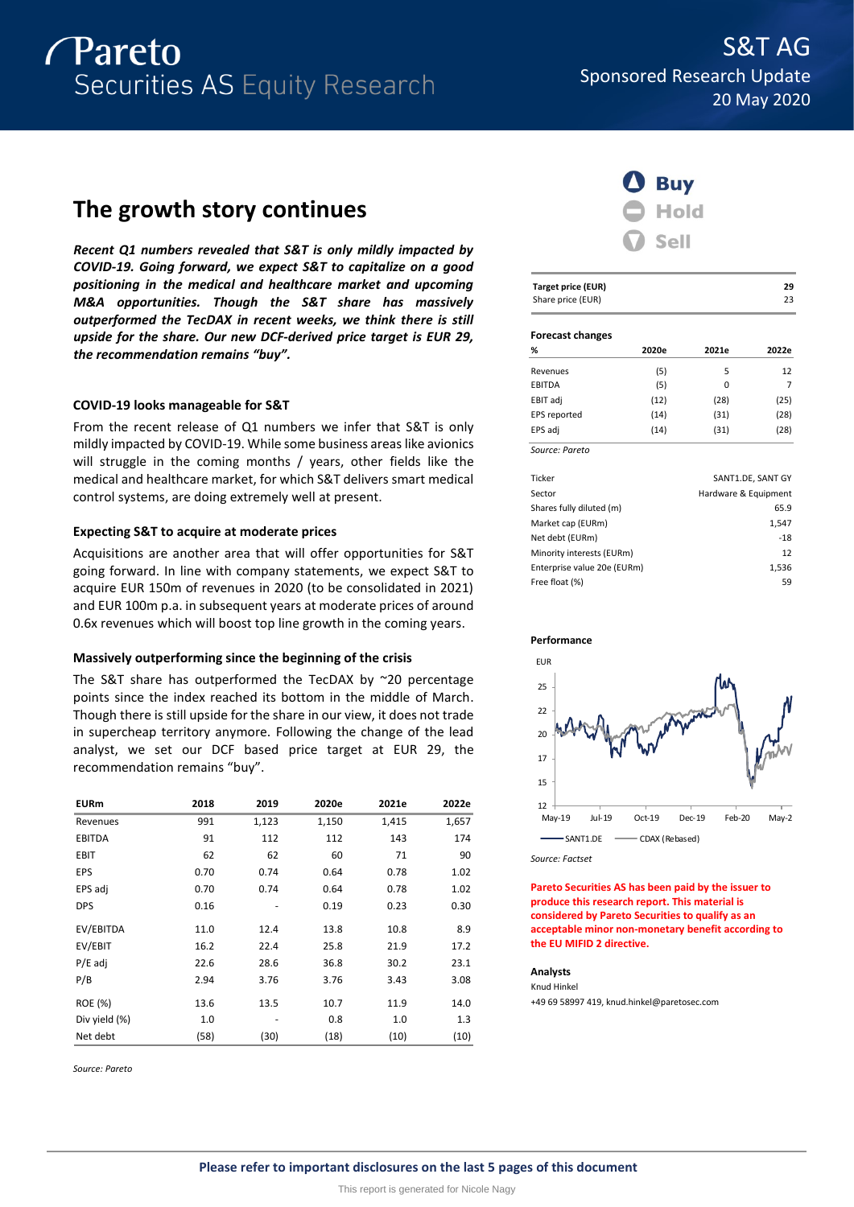

# **The growth story continues**

*Recent Q1 numbers revealed that S&T is only mildly impacted by COVID-19. Going forward, we expect S&T to capitalize on a good positioning in the medical and healthcare market and upcoming M&A opportunities. Though the S&T share has massively outperformed the TecDAX in recent weeks, we think there is still upside for the share. Our new DCF-derived price target is EUR 29, the recommendation remains "buy".*

# **COVID-19 looks manageable for S&T**

From the recent release of Q1 numbers we infer that S&T is only mildly impacted by COVID-19. While some business areas like avionics will struggle in the coming months / years, other fields like the medical and healthcare market, for which S&T delivers smart medical control systems, are doing extremely well at present.

# **Expecting S&T to acquire at moderate prices**

Acquisitions are another area that will offer opportunities for S&T going forward. In line with company statements, we expect S&T to acquire EUR 150m of revenues in 2020 (to be consolidated in 2021) and EUR 100m p.a. in subsequent years at moderate prices of around 0.6x revenues which will boost top line growth in the coming years.

## **Massively outperforming since the beginning of the crisis**

The S&T share has outperformed the TecDAX by ~20 percentage points since the index reached its bottom in the middle of March. Though there is still upside for the share in our view, it does not trade in supercheap territory anymore. Following the change of the lead analyst, we set our DCF based price target at EUR 29, the recommendation remains "buy".

| <b>EURm</b>   | 2018 | 2019  | 2020e | 2021e | 2022e |
|---------------|------|-------|-------|-------|-------|
| Revenues      | 991  | 1,123 | 1,150 | 1,415 | 1,657 |
| <b>EBITDA</b> | 91   | 112   | 112   | 143   | 174   |
| EBIT          | 62   | 62    | 60    | 71    | 90    |
| EPS           | 0.70 | 0.74  | 0.64  | 0.78  | 1.02  |
| EPS adj       | 0.70 | 0.74  | 0.64  | 0.78  | 1.02  |
| <b>DPS</b>    | 0.16 |       | 0.19  | 0.23  | 0.30  |
| EV/EBITDA     | 11.0 | 12.4  | 13.8  | 10.8  | 8.9   |
| EV/EBIT       | 16.2 | 22.4  | 25.8  | 21.9  | 17.2  |
| $P/E$ adj     | 22.6 | 28.6  | 36.8  | 30.2  | 23.1  |
| P/B           | 2.94 | 3.76  | 3.76  | 3.43  | 3.08  |
| ROE (%)       | 13.6 | 13.5  | 10.7  | 11.9  | 14.0  |
| Div yield (%) | 1.0  |       | 0.8   | 1.0   | 1.3   |
| Net debt      | (58) | (30)  | (18)  | (10)  | (10)  |

*Source: Pareto*



| <b>Target price (EUR)</b><br>Share price (EUR) |        |       | 29<br>23 |
|------------------------------------------------|--------|-------|----------|
| <b>Forecast changes</b><br>O/                  | 2020 - | 20216 | הרחר     |

| %            | 2020e | 2021e | 2022e |
|--------------|-------|-------|-------|
| Revenues     | (5)   | 5     | 12    |
| EBITDA       | (5)   | 0     | 7     |
| EBIT adj     | (12)  | (28)  | (25)  |
| EPS reported | (14)  | (31)  | (28)  |
| EPS adj      | (14)  | (31)  | (28)  |

| SANT1.DE, SANT GY    |
|----------------------|
| Hardware & Equipment |
| 65.9                 |
| 1,547                |
| $-18$                |
| 12                   |
| 1,536                |
| 59                   |
|                      |



*Source: Factset*

**Pareto Securities AS has been paid by the issuer to produce this research report. This material is considered by Pareto Securities to qualify as an acceptable minor non-monetary benefit according to the EU MIFID 2 directive.**

## **Analysts**

Knud Hinkel +49 69 58997 419, knud.hinkel@paretosec.com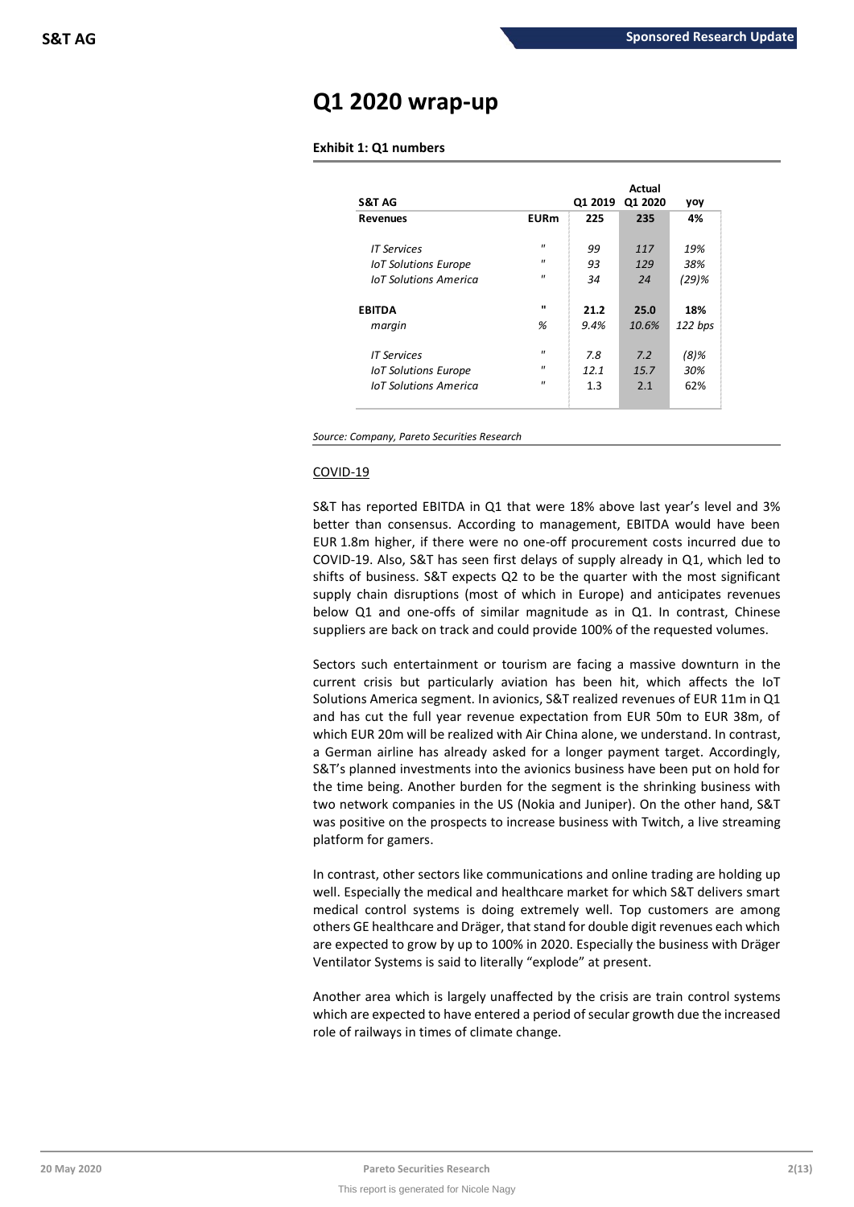# **Q1 2020 wrap-up**

# **Exhibit 1: Q1 numbers**

| <b>S&amp;T AG</b>            |                   | Q1 2019 | Actual<br>Q1 2020 | yoy      |
|------------------------------|-------------------|---------|-------------------|----------|
| <b>Revenues</b>              | <b>EURm</b>       | 225     | 235               | 4%       |
| <b>IT Services</b>           | $^{\prime\prime}$ | 99      | 117               | 19%      |
| <b>IoT Solutions Europe</b>  | $^{\prime\prime}$ | 93      | 129               | 38%      |
| <b>IoT Solutions America</b> | $^{\prime}$       | 34      | 24                | $(29)$ % |
| <b>FBITDA</b>                | $\mathbf{u}$      | 21.2    | 25.0              | 18%      |
| margin                       | %                 | 9.4%    | 10.6%             | 122 bps  |
| <b>IT Services</b>           | $^{\prime}$       | 7.8     | 7.2               | $(8)$ %  |
| <b>IoT Solutions Europe</b>  | $^{\prime\prime}$ | 12.1    | 15.7              | 30%      |
| <b>InT</b> Solutions America | $^{\prime\prime}$ | 1.3     | 2.1               | 62%      |

*Source: Company, Pareto Securities Research*

# COVID-19

S&T has reported EBITDA in Q1 that were 18% above last year's level and 3% better than consensus. According to management, EBITDA would have been EUR 1.8m higher, if there were no one-off procurement costs incurred due to COVID-19. Also, S&T has seen first delays of supply already in Q1, which led to shifts of business. S&T expects Q2 to be the quarter with the most significant supply chain disruptions (most of which in Europe) and anticipates revenues below Q1 and one-offs of similar magnitude as in Q1. In contrast, Chinese suppliers are back on track and could provide 100% of the requested volumes.

Sectors such entertainment or tourism are facing a massive downturn in the current crisis but particularly aviation has been hit, which affects the IoT Solutions America segment. In avionics, S&T realized revenues of EUR 11m in Q1 and has cut the full year revenue expectation from EUR 50m to EUR 38m, of which EUR 20m will be realized with Air China alone, we understand. In contrast, a German airline has already asked for a longer payment target. Accordingly, S&T's planned investments into the avionics business have been put on hold for the time being. Another burden for the segment is the shrinking business with two network companies in the US (Nokia and Juniper). On the other hand, S&T was positive on the prospects to increase business with Twitch, a live streaming platform for gamers.

In contrast, other sectors like communications and online trading are holding up well. Especially the medical and healthcare market for which S&T delivers smart medical control systems is doing extremely well. Top customers are among others GE healthcare and Dräger, that stand for double digit revenues each which are expected to grow by up to 100% in 2020. Especially the business with Dräger Ventilator Systems is said to literally "explode" at present.

Another area which is largely unaffected by the crisis are train control systems which are expected to have entered a period of secular growth due the increased role of railways in times of climate change.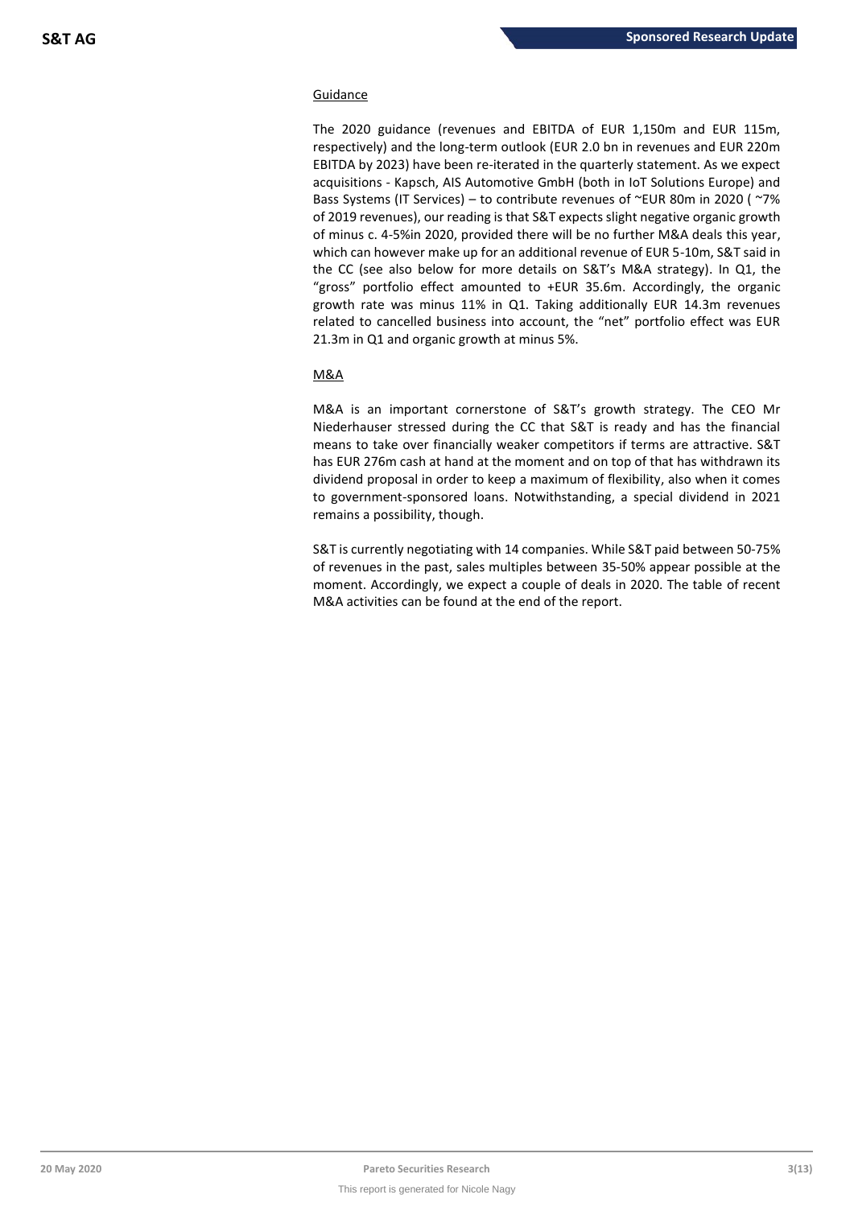# Guidance

The 2020 guidance (revenues and EBITDA of EUR 1,150m and EUR 115m, respectively) and the long-term outlook (EUR 2.0 bn in revenues and EUR 220m EBITDA by 2023) have been re-iterated in the quarterly statement. As we expect acquisitions - Kapsch, AIS Automotive GmbH (both in IoT Solutions Europe) and Bass Systems (IT Services) – to contribute revenues of ~EUR 80m in 2020 ( ~7% of 2019 revenues), our reading is that S&T expects slight negative organic growth of minus c. 4-5%in 2020, provided there will be no further M&A deals this year, which can however make up for an additional revenue of EUR 5-10m, S&T said in the CC (see also below for more details on S&T's M&A strategy). In Q1, the "gross" portfolio effect amounted to +EUR 35.6m. Accordingly, the organic growth rate was minus 11% in Q1. Taking additionally EUR 14.3m revenues related to cancelled business into account, the "net" portfolio effect was EUR 21.3m in Q1 and organic growth at minus 5%.

# M&A

M&A is an important cornerstone of S&T's growth strategy. The CEO Mr Niederhauser stressed during the CC that S&T is ready and has the financial means to take over financially weaker competitors if terms are attractive. S&T has EUR 276m cash at hand at the moment and on top of that has withdrawn its dividend proposal in order to keep a maximum of flexibility, also when it comes to government-sponsored loans. Notwithstanding, a special dividend in 2021 remains a possibility, though.

S&T is currently negotiating with 14 companies. While S&T paid between 50-75% of revenues in the past, sales multiples between 35-50% appear possible at the moment. Accordingly, we expect a couple of deals in 2020. The table of recent M&A activities can be found at the end of the report.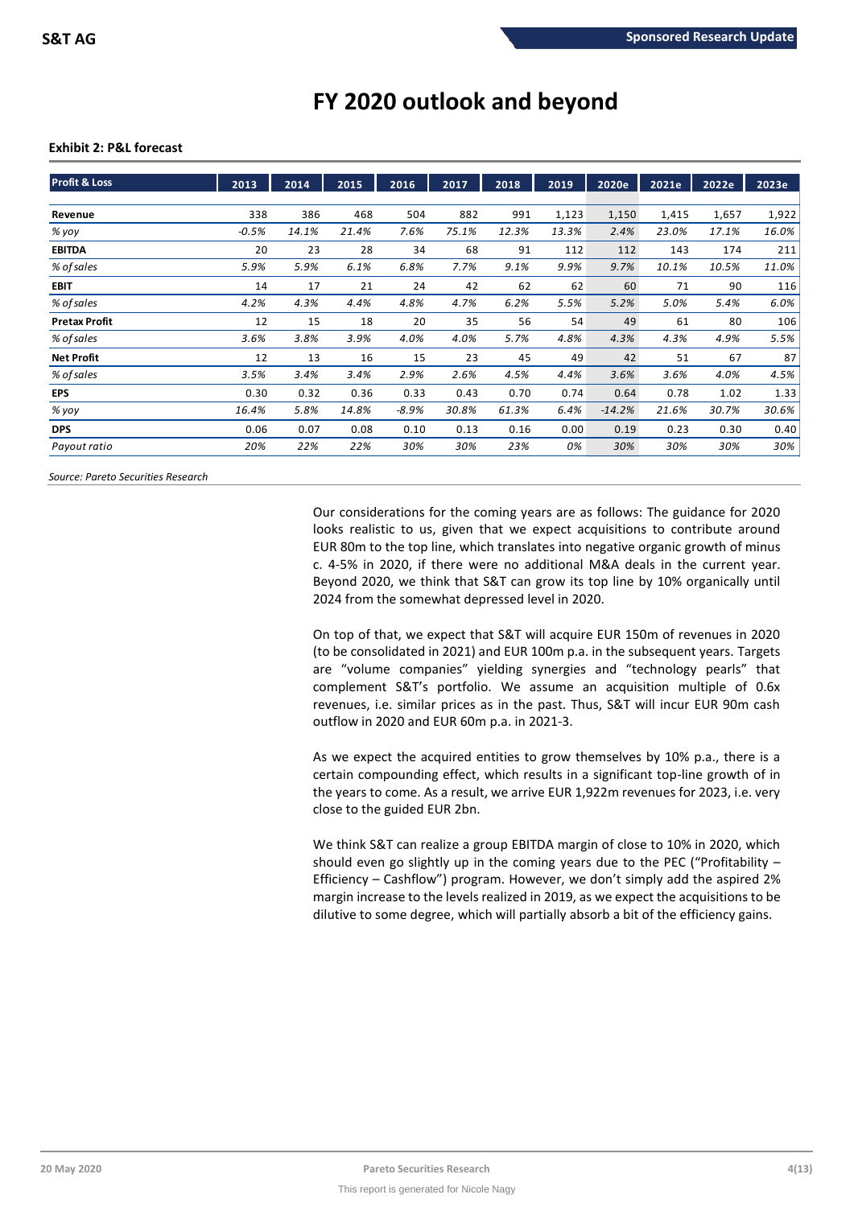# **FY 2020 outlook and beyond**

## **Exhibit 2: P&L forecast**

| <b>Profit &amp; Loss</b> | 2013    | 2014  | 2015  | 2016    | 2017  | 2018  | 2019  | 2020e    | 2021e | 2022e | 2023e |
|--------------------------|---------|-------|-------|---------|-------|-------|-------|----------|-------|-------|-------|
|                          |         |       |       |         |       |       |       |          |       |       |       |
| Revenue                  | 338     | 386   | 468   | 504     | 882   | 991   | 1,123 | 1,150    | 1,415 | 1,657 | 1,922 |
| % yoy                    | $-0.5%$ | 14.1% | 21.4% | 7.6%    | 75.1% | 12.3% | 13.3% | 2.4%     | 23.0% | 17.1% | 16.0% |
| <b>EBITDA</b>            | 20      | 23    | 28    | 34      | 68    | 91    | 112   | 112      | 143   | 174   | 211   |
| % of sales               | 5.9%    | 5.9%  | 6.1%  | 6.8%    | 7.7%  | 9.1%  | 9.9%  | 9.7%     | 10.1% | 10.5% | 11.0% |
| <b>EBIT</b>              | 14      | 17    | 21    | 24      | 42    | 62    | 62    | 60       | 71    | 90    | 116   |
| % of sales               | 4.2%    | 4.3%  | 4.4%  | 4.8%    | 4.7%  | 6.2%  | 5.5%  | 5.2%     | 5.0%  | 5.4%  | 6.0%  |
| <b>Pretax Profit</b>     | 12      | 15    | 18    | 20      | 35    | 56    | 54    | 49       | 61    | 80    | 106   |
| % of sales               | 3.6%    | 3.8%  | 3.9%  | 4.0%    | 4.0%  | 5.7%  | 4.8%  | 4.3%     | 4.3%  | 4.9%  | 5.5%  |
| <b>Net Profit</b>        | 12      | 13    | 16    | 15      | 23    | 45    | 49    | 42       | 51    | 67    | 87    |
| % of sales               | 3.5%    | 3.4%  | 3.4%  | 2.9%    | 2.6%  | 4.5%  | 4.4%  | 3.6%     | 3.6%  | 4.0%  | 4.5%  |
| <b>EPS</b>               | 0.30    | 0.32  | 0.36  | 0.33    | 0.43  | 0.70  | 0.74  | 0.64     | 0.78  | 1.02  | 1.33  |
| % yoy                    | 16.4%   | 5.8%  | 14.8% | $-8.9%$ | 30.8% | 61.3% | 6.4%  | $-14.2%$ | 21.6% | 30.7% | 30.6% |
| <b>DPS</b>               | 0.06    | 0.07  | 0.08  | 0.10    | 0.13  | 0.16  | 0.00  | 0.19     | 0.23  | 0.30  | 0.40  |
| Payout ratio             | 20%     | 22%   | 22%   | 30%     | 30%   | 23%   | 0%    | 30%      | 30%   | 30%   | 30%   |

*Source: Pareto Securities Research*

Our considerations for the coming years are as follows: The guidance for 2020 looks realistic to us, given that we expect acquisitions to contribute around EUR 80m to the top line, which translates into negative organic growth of minus c. 4-5% in 2020, if there were no additional M&A deals in the current year. Beyond 2020, we think that S&T can grow its top line by 10% organically until 2024 from the somewhat depressed level in 2020.

On top of that, we expect that S&T will acquire EUR 150m of revenues in 2020 (to be consolidated in 2021) and EUR 100m p.a. in the subsequent years. Targets are "volume companies" yielding synergies and "technology pearls" that complement S&T's portfolio. We assume an acquisition multiple of 0.6x revenues, i.e. similar prices as in the past. Thus, S&T will incur EUR 90m cash outflow in 2020 and EUR 60m p.a. in 2021-3.

As we expect the acquired entities to grow themselves by 10% p.a., there is a certain compounding effect, which results in a significant top-line growth of in the years to come. As a result, we arrive EUR 1,922m revenues for 2023, i.e. very close to the guided EUR 2bn.

We think S&T can realize a group EBITDA margin of close to 10% in 2020, which should even go slightly up in the coming years due to the PEC ("Profitability – Efficiency – Cashflow") program. However, we don't simply add the aspired 2% margin increase to the levels realized in 2019, as we expect the acquisitions to be dilutive to some degree, which will partially absorb a bit of the efficiency gains.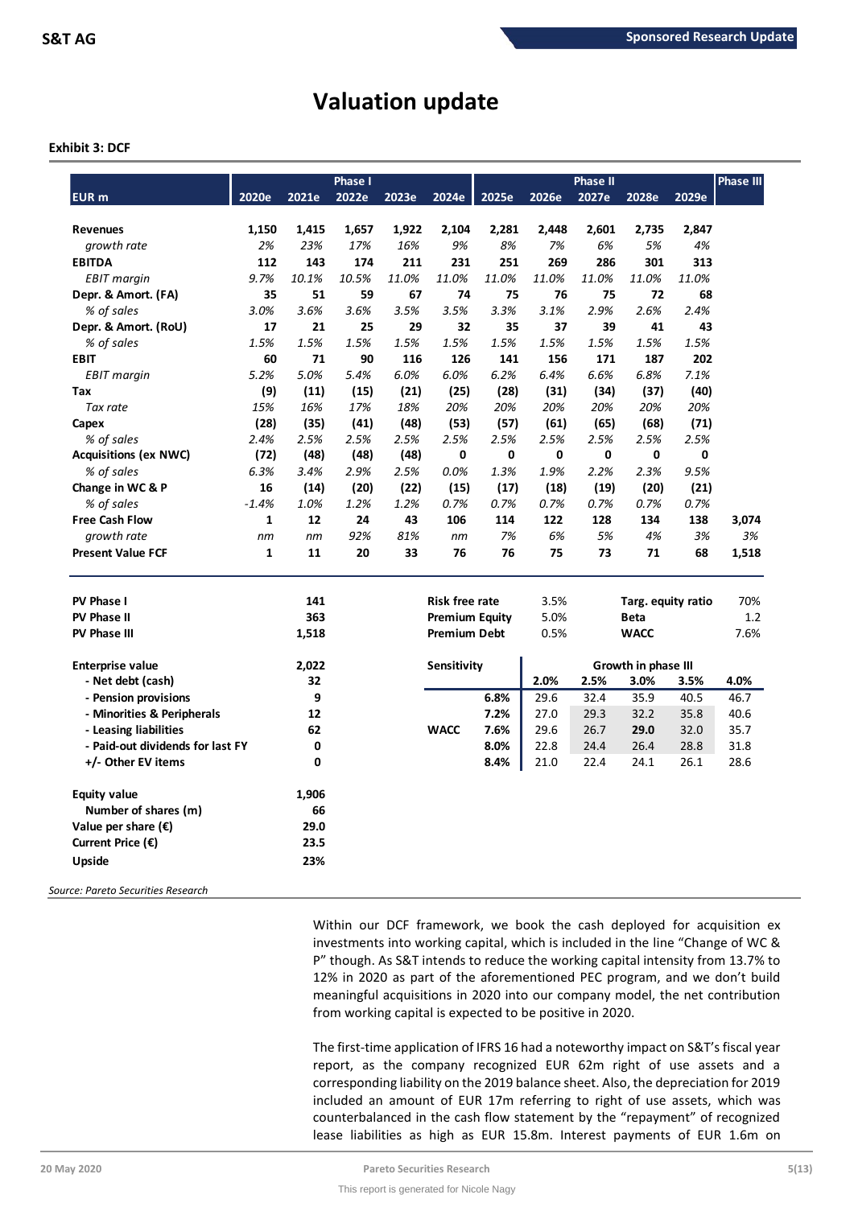# **Valuation update**

## **Exhibit 3: DCF**

|                                  |              |       | <b>Phase I</b> |       |                       |       |       | <b>Phase II</b> |                     |       | <b>Phase III</b> |
|----------------------------------|--------------|-------|----------------|-------|-----------------------|-------|-------|-----------------|---------------------|-------|------------------|
| <b>EUR</b> m                     | 2020e        | 2021e | 2022e          | 2023e | 2024e                 | 2025e | 2026e | 2027e           | 2028e               | 2029e |                  |
|                                  |              |       |                |       |                       |       |       |                 |                     |       |                  |
| <b>Revenues</b>                  | 1,150        | 1,415 | 1,657          | 1,922 | 2,104                 | 2,281 | 2,448 | 2,601           | 2,735               | 2,847 |                  |
| growth rate                      | 2%           | 23%   | 17%            | 16%   | 9%                    | 8%    | 7%    | 6%              | 5%                  | 4%    |                  |
| <b>EBITDA</b>                    | 112          | 143   | 174            | 211   | 231                   | 251   | 269   | 286             | 301                 | 313   |                  |
| <b>EBIT</b> margin               | 9.7%         | 10.1% | 10.5%          | 11.0% | 11.0%                 | 11.0% | 11.0% | 11.0%           | 11.0%               | 11.0% |                  |
| Depr. & Amort. (FA)              | 35           | 51    | 59             | 67    | 74                    | 75    | 76    | 75              | 72                  | 68    |                  |
| % of sales                       | 3.0%         | 3.6%  | 3.6%           | 3.5%  | 3.5%                  | 3.3%  | 3.1%  | 2.9%            | 2.6%                | 2.4%  |                  |
| Depr. & Amort. (RoU)             | 17           | 21    | 25             | 29    | 32                    | 35    | 37    | 39              | 41                  | 43    |                  |
| % of sales                       | 1.5%         | 1.5%  | 1.5%           | 1.5%  | 1.5%                  | 1.5%  | 1.5%  | 1.5%            | 1.5%                | 1.5%  |                  |
| <b>EBIT</b>                      | 60           | 71    | 90             | 116   | 126                   | 141   | 156   | 171             | 187                 | 202   |                  |
| <b>EBIT</b> margin               | 5.2%         | 5.0%  | 5.4%           | 6.0%  | 6.0%                  | 6.2%  | 6.4%  | 6.6%            | 6.8%                | 7.1%  |                  |
| Tax                              | (9)          | (11)  | (15)           | (21)  | (25)                  | (28)  | (31)  | (34)            | (37)                | (40)  |                  |
| Tax rate                         | 15%          | 16%   | 17%            | 18%   | 20%                   | 20%   | 20%   | 20%             | 20%                 | 20%   |                  |
| Capex                            | (28)         | (35)  | (41)           | (48)  | (53)                  | (57)  | (61)  | (65)            | (68)                | (71)  |                  |
| % of sales                       | 2.4%         | 2.5%  | 2.5%           | 2.5%  | 2.5%                  | 2.5%  | 2.5%  | 2.5%            | 2.5%                | 2.5%  |                  |
| <b>Acquisitions (ex NWC)</b>     | (72)         | (48)  | (48)           | (48)  | 0                     | 0     | 0     | 0               | 0                   | 0     |                  |
| % of sales                       | 6.3%         | 3.4%  | 2.9%           | 2.5%  | 0.0%                  | 1.3%  | 1.9%  | 2.2%            | 2.3%                | 9.5%  |                  |
| Change in WC & P                 | 16           | (14)  | (20)           | (22)  | (15)                  | (17)  | (18)  | (19)            | (20)                | (21)  |                  |
| % of sales                       | $-1.4%$      | 1.0%  | 1.2%           | 1.2%  | 0.7%                  | 0.7%  | 0.7%  | 0.7%            | 0.7%                | 0.7%  |                  |
| <b>Free Cash Flow</b>            | 1            | 12    | 24             | 43    | 106                   | 114   | 122   | 128             | 134                 | 138   | 3,074            |
| growth rate                      | nm           | nm    | 92%            | 81%   | nm                    | 7%    | 6%    | 5%              | 4%                  | 3%    | 3%               |
| <b>Present Value FCF</b>         | $\mathbf{1}$ | 11    | 20             | 33    | 76                    | 76    | 75    | 73              | 71                  | 68    | 1,518            |
| <b>PV Phase I</b>                |              | 141   |                |       | <b>Risk free rate</b> |       | 3.5%  |                 | Targ. equity ratio  |       | 70%              |
| <b>PV Phase II</b>               |              | 363   |                |       | <b>Premium Equity</b> |       | 5.0%  |                 | <b>Beta</b>         |       | 1.2              |
| <b>PV Phase III</b>              |              | 1,518 |                |       | <b>Premium Debt</b>   |       | 0.5%  |                 | <b>WACC</b>         |       | 7.6%             |
|                                  |              |       |                |       |                       |       |       |                 |                     |       |                  |
| <b>Enterprise value</b>          |              | 2,022 |                |       | <b>Sensitivity</b>    |       |       |                 | Growth in phase III |       |                  |
| - Net debt (cash)                |              | 32    |                |       |                       |       | 2.0%  | 2.5%            | 3.0%                | 3.5%  | 4.0%             |
| - Pension provisions             |              | 9     |                |       |                       | 6.8%  | 29.6  | 32.4            | 35.9                | 40.5  | 46.7             |
| - Minorities & Peripherals       |              | 12    |                |       |                       | 7.2%  | 27.0  | 29.3            | 32.2                | 35.8  | 40.6             |
| - Leasing liabilities            |              | 62    |                |       | <b>WACC</b>           | 7.6%  | 29.6  | 26.7            | 29.0                | 32.0  | 35.7             |
| - Paid-out dividends for last FY |              | 0     |                |       |                       | 8.0%  | 22.8  | 24.4            | 26.4                | 28.8  | 31.8             |
| +/- Other EV items               |              | 0     |                |       |                       | 8.4%  | 21.0  | 22.4            | 24.1                | 26.1  | 28.6             |
| <b>Equity value</b>              |              | 1,906 |                |       |                       |       |       |                 |                     |       |                  |
| Number of shares (m)             |              | 66    |                |       |                       |       |       |                 |                     |       |                  |
| Value per share $(\epsilon)$     |              | 29.0  |                |       |                       |       |       |                 |                     |       |                  |
| Current Price $(\epsilon)$       |              | 23.5  |                |       |                       |       |       |                 |                     |       |                  |
| <b>Upside</b>                    |              | 23%   |                |       |                       |       |       |                 |                     |       |                  |
|                                  |              |       |                |       |                       |       |       |                 |                     |       |                  |

*Source: Pareto Securities Research*

Within our DCF framework, we book the cash deployed for acquisition ex investments into working capital, which is included in the line "Change of WC & P" though. As S&T intends to reduce the working capital intensity from 13.7% to 12% in 2020 as part of the aforementioned PEC program, and we don't build meaningful acquisitions in 2020 into our company model, the net contribution from working capital is expected to be positive in 2020.

The first-time application of IFRS 16 had a noteworthy impact on S&T's fiscal year report, as the company recognized EUR 62m right of use assets and a corresponding liability on the 2019 balance sheet. Also, the depreciation for 2019 included an amount of EUR 17m referring to right of use assets, which was counterbalanced in the cash flow statement by the "repayment" of recognized lease liabilities as high as EUR 15.8m. Interest payments of EUR 1.6m on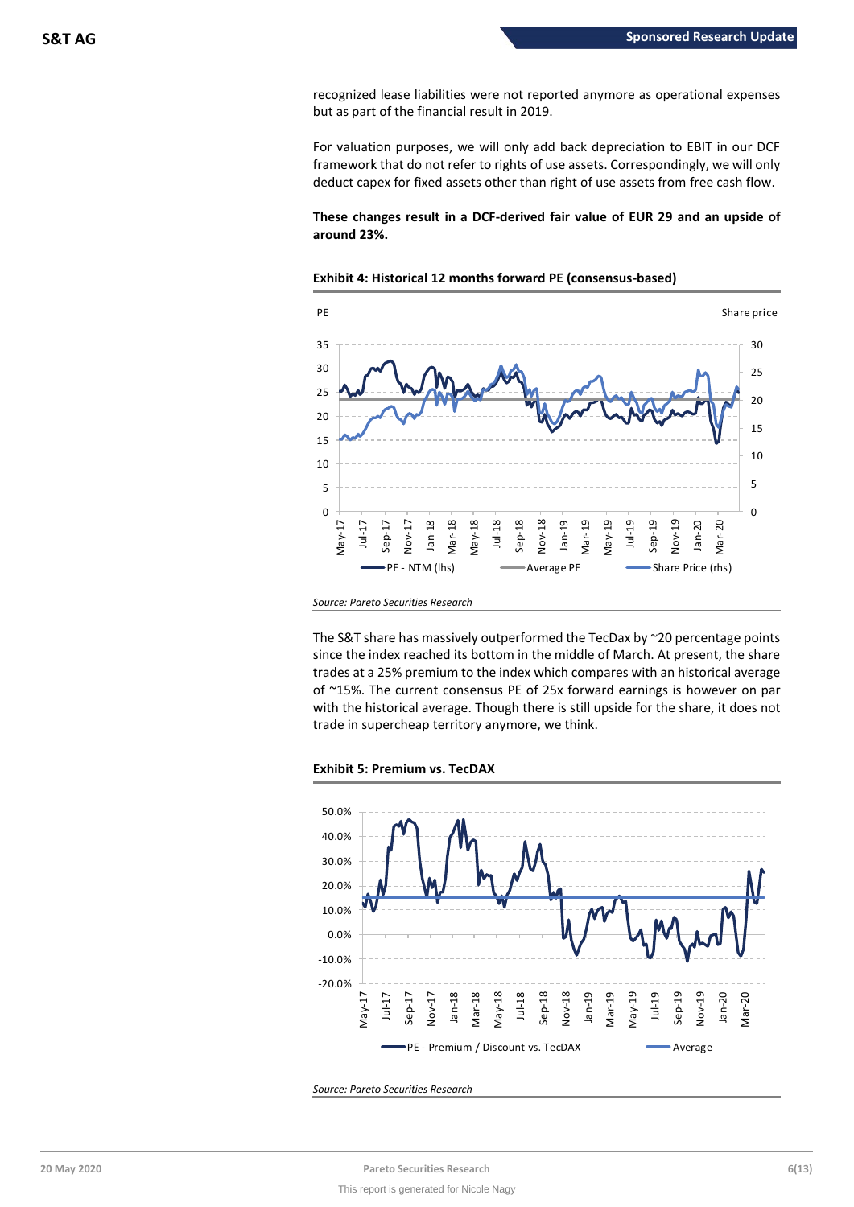recognized lease liabilities were not reported anymore as operational expenses but as part of the financial result in 2019.

For valuation purposes, we will only add back depreciation to EBIT in our DCF framework that do not refer to rights of use assets. Correspondingly, we will only deduct capex for fixed assets other than right of use assets from free cash flow.

# **These changes result in a DCF-derived fair value of EUR 29 and an upside of around 23%.**



# **Exhibit 4: Historical 12 months forward PE (consensus-based)**

The S&T share has massively outperformed the TecDax by ~20 percentage points since the index reached its bottom in the middle of March. At present, the share trades at a 25% premium to the index which compares with an historical average of ~15%. The current consensus PE of 25x forward earnings is however on par with the historical average. Though there is still upside for the share, it does not trade in supercheap territory anymore, we think.





*Source: Pareto Securities Research*

*Source: Pareto Securities Research*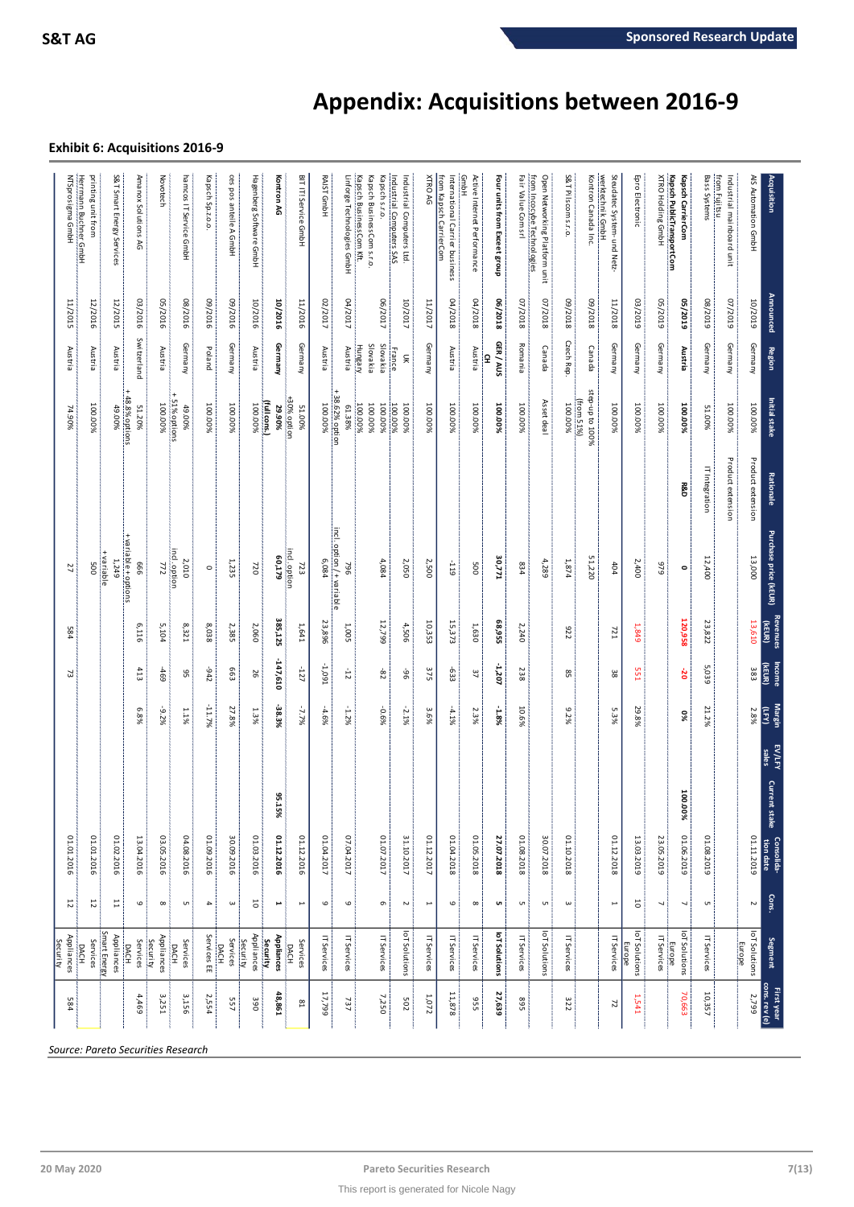# **Appendix: Acquisitions between 2016-9**

# **Exhibit 6: Acquisitions 2016-9**

| AIS Automation GmbH<br><b>Acquisition</b>                            | <b>Announced</b> | <b>Region</b>                   | Initial stake                            | <b>Rationale</b>  | Purchase price (kEUR)        | Revenues<br>(KEUR) | Income<br>(KEUR) | Margin<br>ÎЕ) | EV/LFY<br>sales<br><b>Current</b><br>stake | tion date<br>Consolida- | Cons.                    | <b>Segment</b>                       | cons. rev (e)<br>First year |
|----------------------------------------------------------------------|------------------|---------------------------------|------------------------------------------|-------------------|------------------------------|--------------------|------------------|---------------|--------------------------------------------|-------------------------|--------------------------|--------------------------------------|-----------------------------|
|                                                                      |                  |                                 |                                          |                   |                              |                    |                  |               |                                            |                         |                          |                                      |                             |
|                                                                      | 10/2019          | Germany                         | 100.00%                                  | Product extension | 13,000                       | 13,610             | 383              | 2.8%          |                                            | 01.11.2019              | $\sim$                   | loT Solutions                        | 2,799                       |
| from Fujitsu<br>Industrial mainboard unit                            | 6102/20          | Germany                         | 100.00%                                  | Product extension |                              |                    |                  |               |                                            |                         |                          | Europe                               |                             |
| <b>Bass Systems</b>                                                  | 602/80           | Germany                         | 51.00%                                   | IT Integration    | 12,400                       | 23,822             | 5,039            | 21.2%         |                                            | 01.08.2019              | <b>UT</b>                | IT Services                          | 10,357                      |
| <b>Kapsch PublicTransportCom</b><br>Kapsch CarrierCom                | 62/5019          | Austria                         | 100.00%                                  | 58.D              | $\bullet$                    | 120,958            | έ                | 56            | 100.00%                                    | 01.06.2019              | ↘                        | 힠<br>Sulutions<br>Europe             | 70,663                      |
| <b>XTRO Holding GmbH</b>                                             | 62/2019          | Germany                         | 100.00%                                  |                   | 679                          |                    |                  |               |                                            | 23.05.2019              | ┙                        | IT Services                          |                             |
| Epro Electronic                                                      | 03/2019          | Germany                         | 100.00%                                  |                   | 2,400                        | 1,849              | 551              | 29.8%         |                                            | 13.03.2019              | 5                        | loT Solutions<br>Europe              | 1,541                       |
| werktechnik GmbH<br>Steudatec System- und Netz-                      | 11/2018          | Germany                         | 100.00%                                  |                   | 404                          | 721                | 38               | 5.3%          |                                            | 01.12.2018              | $\overline{ }$           | IT Services                          | 72                          |
| Kontron Canada Inc.                                                  | 8102/60          | Canada                          | step-up to 100%<br>$(\text{from } 51\%)$ |                   | 51,220                       |                    |                  |               |                                            |                         |                          |                                      |                             |
| S&T Pilscom s.r.o.                                                   | 8102/60          | Czech Rep.                      | 100.00%                                  |                   | 1874                         | 275                | $^{85}$          | 9.2%          |                                            | 01.10.2018              | $\omega$                 | IT Services                          | 322                         |
| from Incocybe Technologies<br>Open Networking Platform unit          | 8102/20          | Canada                          | Asset deal                               |                   | 4,289                        |                    |                  |               |                                            | 30.07.2018              | <b>υπ</b>                | lot Solutions                        |                             |
| Fair Value Com srl                                                   | 8102/20          | Romania                         | 100.00%                                  |                   | 834                          | 2,240              | 238              | 10.6%         |                                            | 01.08.2018              | G                        | IT Services                          | 568                         |
| Four units from Exceet group                                         | 06/2018          | GER / AUS<br>£                  | 100.00%                                  |                   | 30,771                       | 68,955             | -1,207           | -1.8%         |                                            | 27.07.2018              | <b>un</b>                | loT Solutions                        | 27,639                      |
| GmbH<br>Active Internet Performance                                  | 8102/10          | Austria                         | 100.00%                                  |                   | 500                          | 1,630              | 37               | 2.3%          |                                            | 01.05.2018              | $\infty$                 | IT Services                          | <b>355</b>                  |
| from Kapsch CarrierCom<br>International Carrier business             | 04/2018          | Austria                         | 100.00%                                  |                   | -119                         | 15,373             | -633             | 4.1%          |                                            | 01.04.2018              | $\circ$                  | IT Services                          | 11,878                      |
| XTRO AG                                                              | 11/2017          | Germany                         | 100.00%                                  |                   | 2,500                        | 10,353             | 375              | 3.6%          |                                            | 01.12.2017              | $\overline{\phantom{a}}$ | <b>T Services</b>                    | 1,072                       |
| Industrial Computers SAS<br>Industrial Computers Ltd.                | 10/2017          | <b>France</b><br>$\infty$       | 100.00%<br>100.00%                       |                   | 2,050                        | 4,506              | နွ               | $-2.1%$       |                                            | 31.10.2017              | 2                        | loT Solutions                        | 502                         |
| Kapsch BusinessCom Kft.<br>Kapsch BusinessCom s.r.o<br>Kapsch s.r.o. | 06/2017          | Slovakia<br>Slovakia<br>Hungary | 100.00%<br>100.00%<br>100.00%            |                   | 4,084                        | 12,799             | 82               | -0.6%         |                                            | 01.07.2017              | $\sigma$                 | IT Services                          | 7,250                       |
| Linforge Technologies GmbH                                           | 04/2017          | Austria                         | 38.62% option<br>61.38%                  |                   | incl.option/+variable<br>964 | 1,005              | $-12$            | $-1.2%$       |                                            | 07.04.2017              | $\mathbf \omega$         | IT Services                          | 737                         |
| RAIST GmbH                                                           | 02/2017          | Austria                         | 100.00%                                  |                   | 6,084                        | 23,896             | 1.091            | 4.6%          |                                            | 01.04.2017              | $\circ$                  | IT Services                          | 17,799                      |
| BIT IT! Service GmbH                                                 | 11/2016          | Germany                         | +30% option<br>51.00%                    |                   | incl. option<br>723          | 1,641              | -127             | $-7.7%$       |                                            | 01.12.2016              | $\overline{a}$           | Services<br>DACH                     | $^{81}$                     |
| Kontron AG                                                           | 10/2016          | Germany                         | (full cons.)<br>29.90%                   |                   | 60,179                       | 385,125            | -147,610         | -38.3%        | 95.15%                                     | 01.12.2016              | ⊨                        | <b>Appliances</b><br><b>Security</b> | 48,861                      |
| Hagenberg Software GmbH                                              | 10/2016          | Austria                         | 100.00%                                  |                   | 720                          | 2,060              | 56               | 1.3%          |                                            | 01.03.2016              | 5                        | Appliances<br>Security               | 390                         |
| ces pos anteile A GmbH                                               | 09/2016          | Germany                         | 100.00%                                  |                   | 1,235                        | 2,385              | 663              | 27.8%         |                                            | 30.09.2016              | $\omega$                 | Services<br><b>DACH</b>              | 557                         |
| Kapsch Sp.z.o.o.                                                     | 09/2016          | Poland                          | 100.00%                                  |                   | $\circ$                      | 8,038              | $-942$           | $-11.7\%$     |                                            | 01.09.2016              | 4                        | Services EE                          | 2,554                       |
| hamcos IT Service GmbH                                               | 08/2016          | Germany                         | + 51% options<br>49.00%                  |                   | 2,010                        | 8,321              | 95               | 1.1%          |                                            | 04.08.2016              | G                        | Services<br>DACH                     | 3,156                       |
| Novotech                                                             | 05/2016          | Austria                         | 100.00%                                  |                   | $rac{lnc1.$ option           | 5,104              | $-469$           | -9.2%         |                                            | 03.05.2016              | $\infty$                 | Appliances<br>Security               | 3,251                       |
| Amanox Solutions<br>R                                                | 03/2016          | Switzerland                     | 48.8% options<br>51.20%                  |                   | + variable + options<br>999  | 6,116              | 413              | 6.8%          |                                            | 13.04.2016              | $\mathbf \omega$         | Services<br><b>DACH</b>              | 4,469                       |
| S&T Smart Energy Services                                            | 12/2015          | Austria                         | 49.00%                                   |                   | variable<br>1,249            |                    |                  |               |                                            | 01.02.2016              | 旨                        | Smart Energy<br>Appliances           |                             |
| printing unit from                                                   | 12/2016          | Austria                         | 100.00%                                  |                   | 500                          |                    |                  |               |                                            | 01.01.2016              | 5                        | Services<br><b>DACH</b>              |                             |
| Herrmann Buchner GmbH<br>NTSprosigma GmbH                            | 11/2015          | Austria                         | 74.90%                                   |                   | 27                           | 584                | 73               |               |                                            | 01.01.2016              | 12                       | Appliances<br>Security               | 584                         |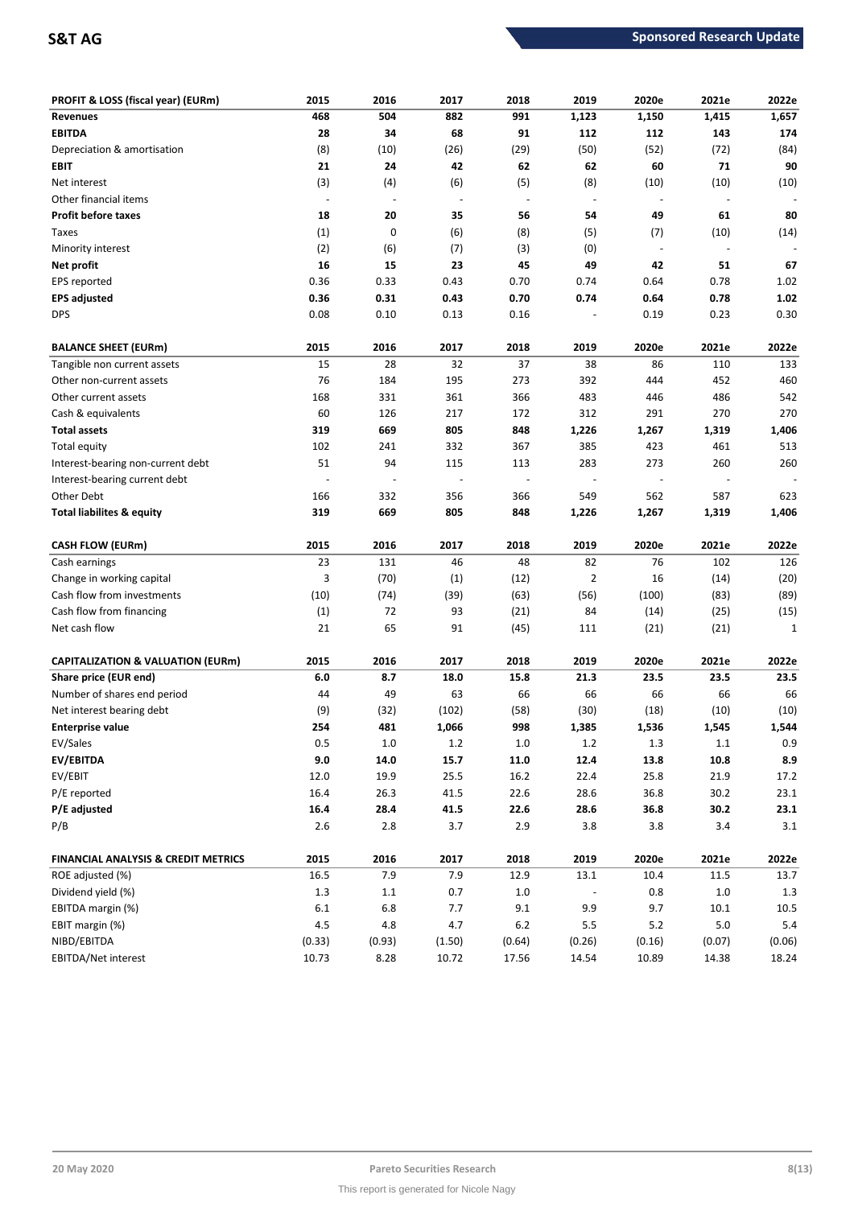| PROFIT & LOSS (fiscal year) (EURm)             | 2015    | 2016                     | 2017                     | 2018                     | 2019           | 2020e                    | 2021e                    | 2022e        |
|------------------------------------------------|---------|--------------------------|--------------------------|--------------------------|----------------|--------------------------|--------------------------|--------------|
| <b>Revenues</b>                                | 468     | 504                      | 882                      | 991                      | 1,123          | 1,150                    | 1,415                    | 1,657        |
| <b>EBITDA</b>                                  | 28      | 34                       | 68                       | 91                       | 112            | 112                      | 143                      | 174          |
| Depreciation & amortisation                    | (8)     | (10)                     | (26)                     | (29)                     | (50)           | (52)                     | (72)                     | (84)         |
| EBIT                                           | 21      | 24                       | 42                       | 62                       | 62             | 60                       | 71                       | 90           |
| Net interest                                   | (3)     | (4)                      | (6)                      | (5)                      | (8)            | (10)                     | (10)                     | (10)         |
| Other financial items                          | $\sim$  | $\overline{\phantom{a}}$ | $\overline{\phantom{a}}$ | $\overline{\phantom{a}}$ | $\blacksquare$ | $\overline{\phantom{a}}$ | $\overline{\phantom{a}}$ |              |
| <b>Profit before taxes</b>                     | 18      | 20                       | 35                       | 56                       | 54             | 49                       | 61                       | 80           |
| Taxes                                          | (1)     | 0                        | (6)                      | (8)                      | (5)            | (7)                      | (10)                     | (14)         |
| Minority interest                              | (2)     | (6)                      | (7)                      | (3)                      | (0)            | $\overline{\phantom{a}}$ |                          |              |
| Net profit                                     | 16      | 15                       | 23                       | 45                       | 49             | 42                       | 51                       | 67           |
| EPS reported                                   | 0.36    | 0.33                     | 0.43                     | 0.70                     | 0.74           | 0.64                     | 0.78                     | 1.02         |
| <b>EPS adjusted</b>                            | 0.36    | 0.31                     | 0.43                     | 0.70                     | 0.74           | 0.64                     | 0.78                     | 1.02         |
| <b>DPS</b>                                     | 0.08    | 0.10                     | 0.13                     | 0.16                     |                | 0.19                     | 0.23                     | 0.30         |
| <b>BALANCE SHEET (EURm)</b>                    | 2015    | 2016                     | 2017                     | 2018                     | 2019           | 2020e                    | 2021e                    | 2022e        |
| Tangible non current assets                    | 15      | 28                       | 32                       | 37                       | 38             | 86                       | 110                      | 133          |
| Other non-current assets                       | 76      | 184                      | 195                      | 273                      | 392            | 444                      | 452                      | 460          |
| Other current assets                           | 168     | 331                      | 361                      | 366                      | 483            | 446                      | 486                      | 542          |
| Cash & equivalents                             | 60      | 126                      | 217                      | 172                      | 312            | 291                      | 270                      | 270          |
| <b>Total assets</b>                            | 319     | 669                      | 805                      | 848                      | 1,226          | 1,267                    | 1,319                    | 1,406        |
| <b>Total equity</b>                            | 102     | 241                      | 332                      | 367                      | 385            | 423                      | 461                      | 513          |
| Interest-bearing non-current debt              | 51      | 94                       | 115                      | 113                      | 283            | 273                      | 260                      | 260          |
| Interest-bearing current debt                  |         |                          |                          | $\overline{\phantom{a}}$ |                |                          |                          |              |
| Other Debt                                     | 166     | 332                      | 356                      | 366                      | 549            | 562                      | 587                      | 623          |
| Total liabilites & equity                      | 319     | 669                      | 805                      | 848                      | 1,226          | 1,267                    | 1,319                    | 1,406        |
| <b>CASH FLOW (EURm)</b>                        | 2015    | 2016                     | 2017                     | 2018                     | 2019           | 2020e                    | 2021e                    | 2022e        |
| Cash earnings                                  | 23      | 131                      | 46                       | 48                       | 82             | 76                       | 102                      | 126          |
| Change in working capital                      | 3       | (70)                     | (1)                      | (12)                     | 2              | 16                       | (14)                     | (20)         |
| Cash flow from investments                     | (10)    | (74)                     | (39)                     | (63)                     | (56)           | (100)                    | (83)                     | (89)         |
| Cash flow from financing                       | (1)     | 72                       | 93                       | (21)                     | 84             | (14)                     | (25)                     | (15)         |
| Net cash flow                                  | 21      | 65                       | 91                       | (45)                     | 111            | (21)                     | (21)                     | $\mathbf{1}$ |
| <b>CAPITALIZATION &amp; VALUATION (EURm)</b>   | 2015    | 2016                     | 2017                     | 2018                     | 2019           | 2020e                    | 2021e                    | 2022e        |
| Share price (EUR end)                          | 6.0     | 8.7                      | 18.0                     | 15.8                     | 21.3           | 23.5                     | 23.5                     | 23.5         |
| Number of shares end period                    | 44      | 49                       | 63                       | 66                       | 66             | 66                       | 66                       | 66           |
| Net interest bearing debt                      | (9)     | (32)                     | (102)                    | (58)                     | (30)           | (18)                     | (10)                     | (10)         |
| <b>Enterprise value</b>                        | 254     | 481                      | 1,066                    | 998                      | 1,385          | 1,536                    | 1,545                    | 1,544        |
| EV/Sales                                       | 0.5     | $1.0\,$                  | 1.2                      | $1.0\,$                  | 1.2            | 1.3                      | $1.1\,$                  | 0.9          |
| EV/EBITDA                                      | 9.0     | 14.0                     | 15.7                     | 11.0                     | 12.4           | 13.8                     | 10.8                     | 8.9          |
| EV/EBIT                                        | 12.0    | 19.9                     | $25.5\,$                 | 16.2                     | 22.4           | 25.8                     | 21.9                     | 17.2         |
| P/E reported                                   | 16.4    | 26.3                     | 41.5                     | 22.6                     | 28.6           | 36.8                     | 30.2                     | 23.1         |
| P/E adjusted                                   | 16.4    | 28.4                     | 41.5                     | 22.6                     | 28.6           | 36.8                     | 30.2                     | 23.1         |
| P/B                                            | $2.6$   | $2.8\,$                  | 3.7                      | 2.9                      | 3.8            | 3.8                      | 3.4                      | 3.1          |
| <b>FINANCIAL ANALYSIS &amp; CREDIT METRICS</b> | 2015    | 2016                     | 2017                     | 2018                     | 2019           | 2020e                    | 2021e                    | 2022e        |
| ROE adjusted (%)                               | 16.5    | 7.9                      | 7.9                      | 12.9                     | 13.1           | 10.4                     | 11.5                     | 13.7         |
| Dividend yield (%)                             | $1.3\,$ | $1.1\,$                  | 0.7                      | $1.0\,$                  |                | 0.8                      | $1.0\,$                  | 1.3          |
| EBITDA margin (%)                              | $6.1\,$ | 6.8                      | 7.7                      | 9.1                      | 9.9            | 9.7                      | 10.1                     | 10.5         |
| EBIT margin (%)                                | $4.5\,$ | 4.8                      | 4.7                      | $6.2$                    | $5.5\,$        | $5.2$                    | 5.0                      | $5.4\,$      |
| NIBD/EBITDA                                    | (0.33)  | (0.93)                   | (1.50)                   | (0.64)                   | (0.26)         | (0.16)                   | (0.07)                   | (0.06)       |
| EBITDA/Net interest                            | 10.73   | 8.28                     | 10.72                    | 17.56                    | 14.54          | 10.89                    | 14.38                    | 18.24        |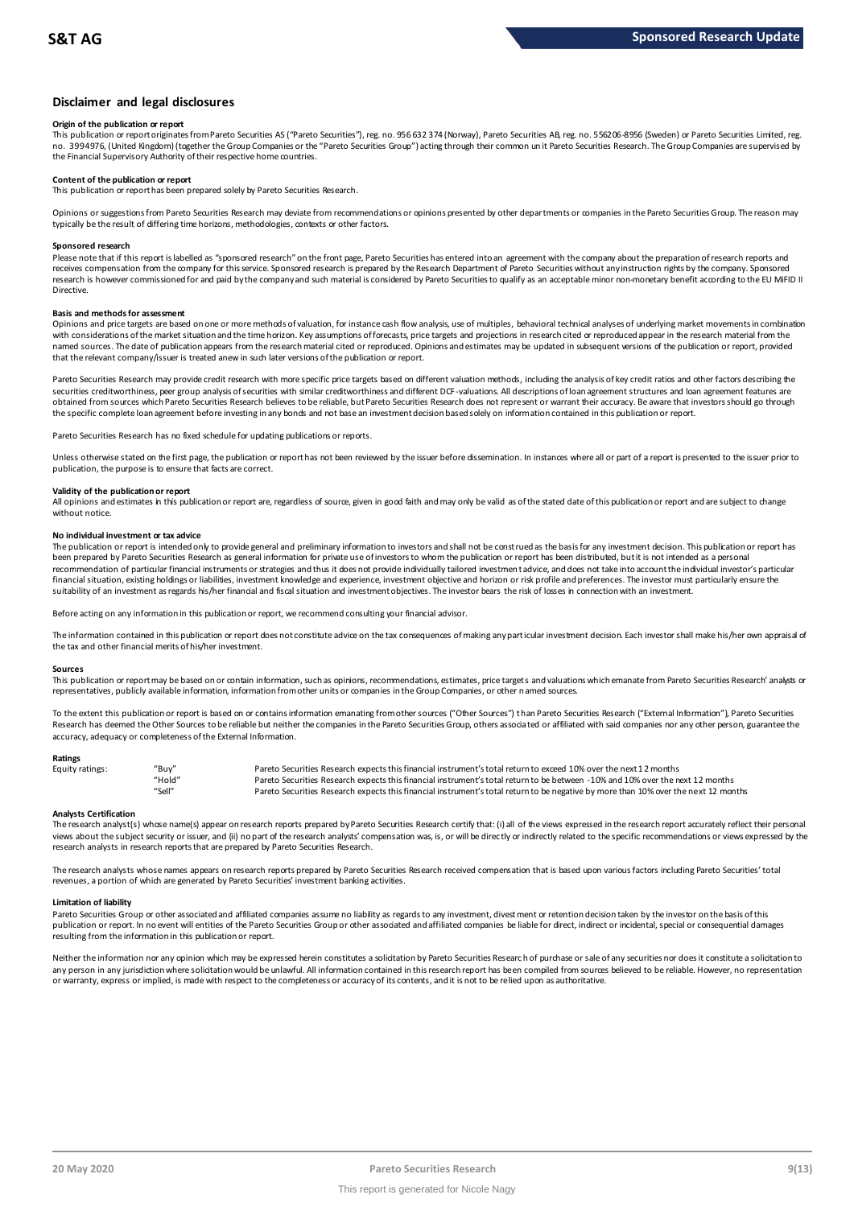## **Disclaimer and legal disclosures**

## **Origin of the publication or report**

This publication or report originates from Pareto Securities AS ("Pareto Securities"), reg. no. 956 632 374 (Norway), Pareto Securities AB, reg. no. 556206-8956 (Sweden) or Pareto Securities Limited, reg. no. 3994976, (United Kingdom) (together the Group Companies or the "Pareto Securities Group") acting through their common un it Pareto Securities Research. The Group Companies are supervised by the Financial Supervisory Authority of their respective home countries.

## **Content of the publication or report**

This publication or report has been prepared solely by Pareto Securities Research.

Opinions or suggestions from Pareto Securities Research may deviate from recommendations or opinions presented by other departments or companies in the Pareto Securities Group. The reason may typically be the result of differing time horizons, methodologies, contexts or other factors.

### **Sponsored research**

Please note that if this report is labelled as "sponsored research" on the front page, Pareto Securities has entered into an agreement with the company about the preparation of research reports and receives compensation from the company for this service. Sponsored research is prepared by the Research Department of Pareto Securities without any instruction rights by the company. Sponsored research is however commissioned for and paid by the company and such material is considered by Pareto Securities to qualify as an acceptable minor non-monetary benefit according to the EU MiFID II Directive.

## **Basis and methods for assessment**

Opinions and price targets are based on one or more methods of valuation, for instance cash flow analysis, use of multiples, behavioral technical analyses of underlying market movements in combination with considerations of the market situation and the time horizon. Key assumptions of forecasts, price targets and projections in research cited or reproduced appear in the research material from the named sources. The date of publication appears from the research material cited or reproduced. Opinions and estimates may be updated in subsequent versions of the publication or report, provided in subsequent versions of t that the relevant company/issuer is treated anew in such later versions of the publication or report.

Pareto Securities Research may provide credit research with more specific price targets based on different valuation methods, including the analysis of key credit ratios and other factors describing the securities creditworthiness, peer group analysis of securities with similar creditworthiness and different DCF-valuations. All descriptions of loan agreement structures and loan agreement features are obtained from sources which Pareto Securities Research believes to be reliable, but Pareto Securities Research does not represent or warrant their accuracy. Be aware that investors should go through the specific complete loan agreement before investing in any bonds and not base an investment decision based solely on information contained in this publication or report.

Pareto Securities Research has no fixed schedule for updating publications or reports.

Unless otherwise stated on the first page, the publication or report has not been reviewed by the issuer before dissemination. In instances where all or part of a report is presented to the issuer prior to publication, the purpose is to ensure that facts are correct.

## **Validity of the publication or report**

All opinions and estimates in this publication or report are, regardless of source, given in good faith and may only be valid as of the stated date of this publication or report and are subject to change without notice.

### **No individual investment or tax advice**

The publication or report is intended only to provide general and preliminary information to investors and shall not be construed as the basis for any investment decision. This publication or report has been prepared by Pareto Securities Research as general information for private use of investors to whom the publication or report has been distributed, but it is not intended as a personal recommendation of particular financial instruments or strategies and thus it does not provide individually tailored investmen t advice, and does not take into account the individual investor's particular financial situation, existing holdings or liabilities, investment knowledge and experience, investment objective and horizon or risk profile and preferences. The investor must particularly ensure the suitability of an investment as regards his/her financial and fiscal situation and investment objectives. The investor bears the risk of losses in connection with an investment.

Before acting on any information in this publication or report, we recommend consulting your financial advisor.

The information contained in this publication or report does not constitute advice on the tax consequences of making any particular investment decision. Each investor shall make his/her own appraisal of the tax and other financial merits of his/her investment.

### **Sources**

This publication or report may be based on or contain information, such as opinions, recommendations, estimates, price targets and valuations which emanate from Pareto Securities Research' analysts or representatives, publicly available information, information from other units or companies in the Group Companies, or other named sources.

To the extent this publication or report is based on or contains information emanating from other sources ("Other Sources") than Pareto Securities Research ("External Information"), Pareto Securities Research has deemed the Other Sources to be reliable but neither the companies in the Pareto Securities Group, others associated or affiliated with said companies nor any other person, guarantee the accuracy, adequacy or completeness of the External Information.

## **Ratings**

| Equity ratings: | "Buv"  | Pareto Securities Research expects this financial instrument's total return to exceed 10% over the next 12 months                   |
|-----------------|--------|-------------------------------------------------------------------------------------------------------------------------------------|
|                 | "Hold" | Pareto Securities Research expects this financial instrument's total return to be between -10% and 10% over the next 12 months      |
|                 | "Sell" | Pareto Securities Research expects this financial instrument's total return to be negative by more than 10% over the next 12 months |

Analysts Certification<br>The research analyst(s) whose name(s) appear on research reports prepared by Pareto Securities Research certify that: (i) all of the views expressed in the research report accurately reflect their pe "Hold"<br>"Sell" Pareto Securities Research expects this financial instrument's total return to be between -1.0% and 1.0% over the next 12 months<br>"Sell" Pareto Securities Research expects this financial instrument's total ret research analysts in research reports that are prepared by Pareto Securities Research.

The research analysts whose names appears on research reports prepared by Pareto Securities Research received compensation that is based upon various factors including Pareto Securities' total revenues, a portion of which are generated by Pareto Securities' investment banking activities.

### **Limitation of liability**

Pareto Securities Group or other associated and affiliated companies assume no liability as regards to any investment, divest ment or retention decision taken by the investor on the basis of this publication or report. In no event will entities of the Pareto Securities Group or other associated and affiliated companies be liable for direct, indirect or incidental, special or consequential damages resulting from the information in this publication or report.

Neither the information nor any opinion which may be expressed herein constitutes a solicitation by Pareto Securities Research of purchase or sale of any securities nor does it constitute a solicitation to any person in any jurisdiction where solicitation would be unlawful. All information contained in this research report has been compiled from sources believed to be reliable. However, no representation or warranty, express or implied, is made with respect to the completeness or accuracy of its contents, and it is not to be relied upon as authoritative.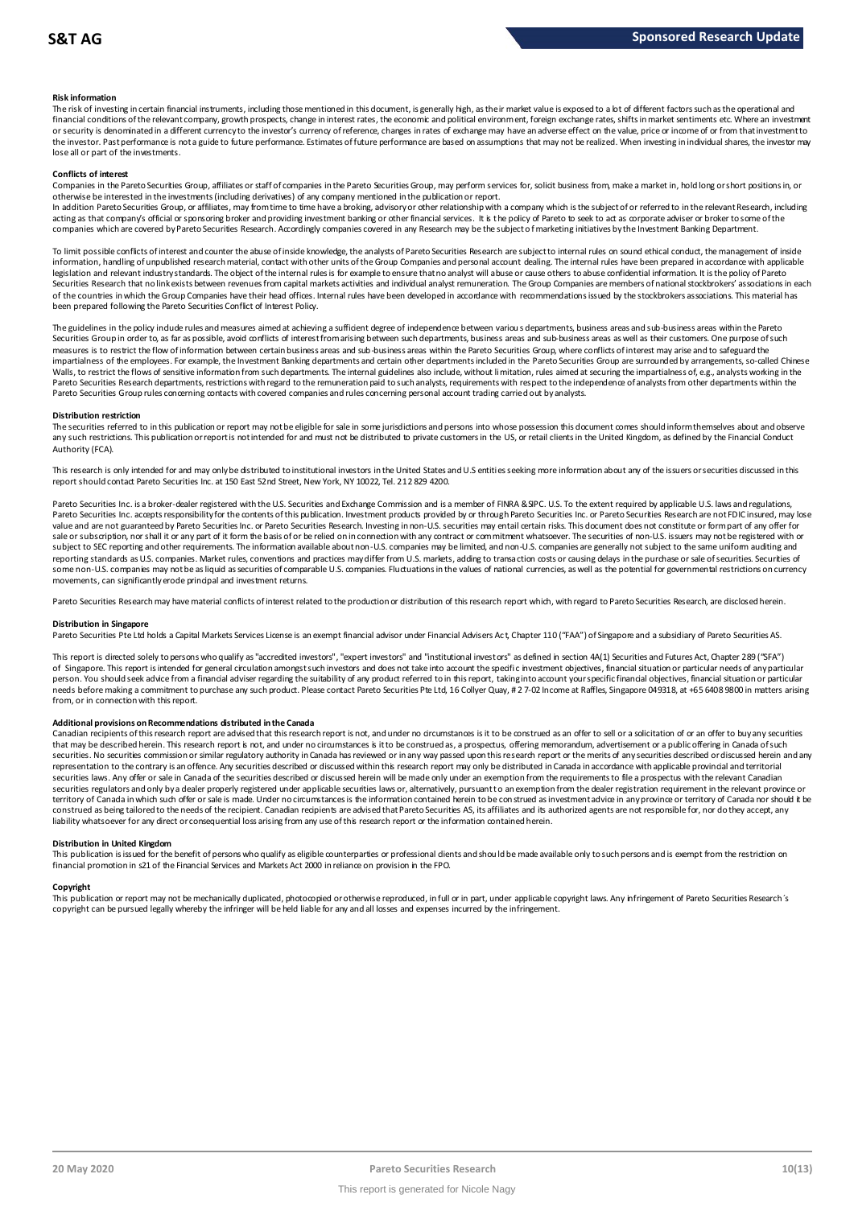## **Risk information**

The risk of investing in certain financial instruments, including those mentioned in this document, is generally high, as their market value is exposed to a lot of different factors such as the operational and financial conditions of the relevant company, growth prospects, change in interest rates, the economic and political environment, foreign exchange rates, shifts in market sentiments etc. Where an investment met.<br>or securit the investor. Past performance is not a guide to future performance. Estimates of future performance are based on assumptions that may not be realized. When investing in individual shares, the investor may lose all or part of the investments.

## **Conflicts of interest**

Companies in the Pareto Securities Group, affiliates or staff of companies in the Pareto Securities Group, may perform services for, solicit business from, make a market in, hold long or short positions in, or otherwise be interested in the investments (including derivatives) of any company mentioned in the publication or report.

In addition Pareto Securities Group, or affiliates, may from time to time have a broking, advisory or other relationship with a company which is the subject of or referred to in the relevant Research, including acting as that company's official or sponsoring broker and providing investment banking or other financial services. It is the policy of Pareto to seek to act as corporate adviser or broker to some of the<br>companies which a

To limit possible conflicts of interest and counter the abuse of inside knowledge, the analysts of Pareto Securities Research are subject to internal rules on sound ethical conduct, the management of inside<br>information, ha legislation and relevant industry standards. The object of the internal rules is for example to ensure that no analyst will abuse or cause others to abuse confidential information. It is the policy of Pareto Securities Research that no link exists between revenues from capital markets activities and individual analyst remuneration. The Group Companies are members of national stockbrokers' associations in each of the countries in which the Group Companies have their head offices. Internal rules have been developed in accordance with recommendations issued by the stockbrokers associations. This material has been prepared following the Pareto Securities Conflict of Interest Policy.

The guidelines in the policy indude rules and measures aimed at achieving a sufficient degree of independence between variou s departments, business areas and sub-business areas within the Pareto In the sum in order to, as far as possible, avoid conflicts of interest from arising between such departments, business areas and sub-business areas as well as their customers. One purpose of such customers areas as well a measures is to restrict the flow of information between certain business areas and sub-business areas within the Pareto Securities Group, where conflicts of interest may arise and to safeguard the impartialness of the empl The guidelines in the policy indude rules and measures aimed at achieving a sufficient degree of independence between various departments, business areas and sub-business areas within the Pareto<br>Securities Group in order t Pareto Securities Group rules concerning contacts with covered companies and rules concerning personal account trading carried out by analysts.

## **Distribution restriction**

The securities referred to in this publication or report may not be eligible for sale in some jurisdictions and persons into whose possession this document comes should inform themselves about and observe Pareto Securities Group rules concerning contacts with covered companies and rules concerning personal account trading carried out by analysts.<br>Distribution restriction<br>The securities referred to in this publication or rep Authority (FCA).

This research is only intended for and may only be distributed to institutional investors in the United States and U.S entities seeking more information about any of the issuers or securities discussed in this report should contact Pareto Securities Inc. at 150 East 52nd Street, New York, NY 10022, Tel. 212 829 4200.

Pareto Securities Inc. is a broker-dealer registered with the U.S. Securities and Exchange Commission and is a member of FINRA & SPC. U.S. To the extent required by applicable U.S. laws and regulations, Pareto Securities Inc. accepts responsibility for the contents of this publication. Investment products provided by or through Pareto Securities Inc. or Pareto Securities Research are not FDIC insured, may lose value and are not guaranteed by Pareto Securities Inc. or Pareto Securities Research. Investing in non-U.S. securities may entail certain risks. This document does not constitute or form part of any offer for sale or subscription, nor shall it or any part of it form the basis of or be relied on in connection with any contract or commitment whatsoever. The securities of non-U.S. issuers may not be registered with or subject to SEC reporting and other requirements. The information available about non-U.S. companies may be limited, and non-U.S. companies are generally not subject to the same uniform auditing and subject to the same unif reporting standards as U.S. companies. Market rules, conventions and practices may differ from U.S. markets, adding to transaction costs or causing delays in the purchase or sale of securities. Securities of some non-U.S. companies may not be as liquid as securities of comparable U.S. companies. Fluctuations in the values of national currencies, as well as the potential for governmental restrictions on currency movements, can significantly erode principal and investment returns.

Pareto Securities Research may have material conflicts of interest related to the production or distribution of this research report which, with regard to Pareto Securities Research, are disclosed herein.

## **Distribution in Singapore**

Pareto Securities Pte Ltd holds a Capital Markets Services License is an exempt financial advisor under Financial Advisers Act, Chapter 110 ("FAA") of Singapore and a subsidiary of Pareto Securities AS.

This report is directed solely to persons who qualify as "accredited investors", "expert investors" and "institutional investors" as defined in section 4A(1) Securities and Futures Act, Chapter 289 ("SFA") Distribution in Singapore<br>Pareto Securities Pte Ltd holds a Capital Markets Services License is an exempt financial advisor under Financial Advisers Act, Chapter 110 ("FAA") of Singapore and a subsidiary of Pareto Securiti person. You should seek advice from a financial adviser regarding the suitability of any product referred to in this report, taking into account your specific financial objectives, financial situation or particular needs before making a commitment to purchase any such product. Please contact Pareto Securities Pte Ltd, 16 Collyer Quay, # 2 7-02 Income at Raffles, Singapore 049318, at +65 6408 9800 in matters arising from, or in connection with this report.

Additional provisions on Recommendations distributed in the Canada<br>Canadian recipients of this research report are advised that this research report is not, and under no circumstances is it to be construed as an offer to s needs before making a commitment to purchase any such product. Please contact Pareto Securities Pte Ltd, 16 Collyer Quay, # 2 7-02 Income at Raffles, Singapore 049318, at +65 6408 9800 in matters arisin<br>from, or in connect from, or in connection with this report.<br>Additional provisions on Recommendations distributed in the Canada<br>Canadian recipients of this research report are advised that this research report is not, and under no circumstanc securities. No securities commission or similar regulatory authority in Canada has reviewed or in any way passed upon this research report or the merits of any securities described or discussed herein and any representation to the contrary is an offence. Any securities described or discussed within this research report may only be distributed in Canada in accordance with applicable provincial and territorial<br>securities laws. An securities regulators and only bya dealer properly registered under applicable securities laws or, alternatively, pursuant to an exemption from the dealer registration requirement in the relevant province or territory of Canada in which such offer or sale is made. Under no circumstances is the information contained herein to be construed as investment advice in any province or territory of Canada nor should it be construed as being tailored to the needs of the recipient. Canadian redpients are advised that Pareto Securities AS, its affiliates and its authorized agents are not responsible for, nor do they accept, any liability whatsoever for any direct or consequential loss arising from any use of this research report or the information contained herein.

## **Distribution in United Kingdom**

This publication is issued for the benefit of persons who qualify as eligible counterparties or professional dients and should be made available only to such persons and is exempt from the restriction on financial promotion in s21 of the Financial Services and Markets Act 2000 in reliance on provision in the FPO.

## **Copyright**

This publication or report may not be mechanically duplicated, photocopied or otherwise reproduced, in full or in part, under applicable copyright laws. Any infringement of Pareto Securities Research's copyright can be pursued legally whereby the infringer will be held liable for any and all losses and expenses incurred by the infringement.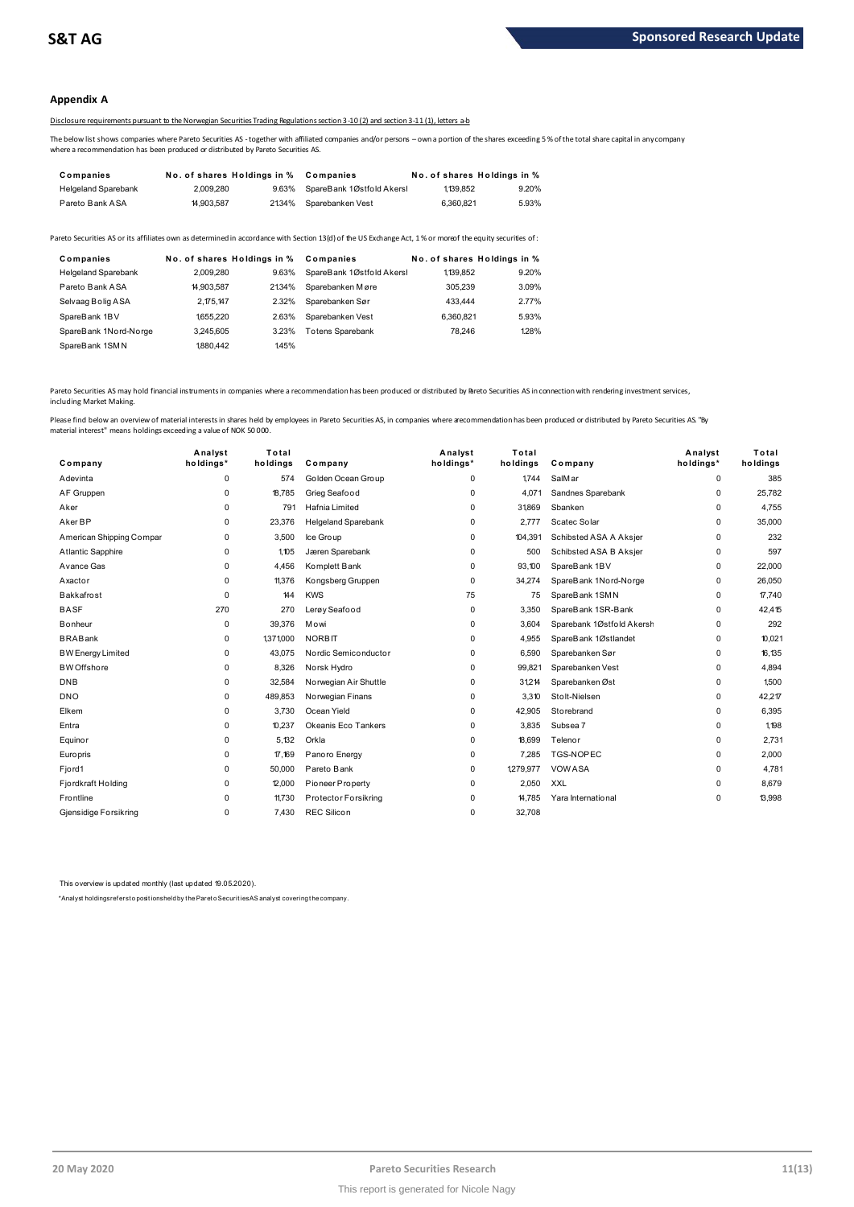## **Appendix A**

## Disclosure requirements pursuant to the Norwegian Securities Trading Regulations section 3-10 (2) and section 3-11 (1), letters a-b

The below list shows companies where Pareto Securities AS -together with affiliated companies and/or persons – own a portion of the shares exceeding 5 % of the total share capital in any company where a recommendation has been produced or distributed by Pareto Securities AS.

| Companies                  | No. of shares Holdings in % |       | Companies                 |           | No. of shares Holdings in % |
|----------------------------|-----------------------------|-------|---------------------------|-----------|-----------------------------|
| <b>Helgeland Sparebank</b> | 2.009.280                   | 9.63% | SpareBank 1Østfold Akersl | 1,139,852 | 9.20%                       |
| Pareto Bank ASA            | 14.903.587                  | 2134% | Sparebanken Vest          | 6.360.821 | 5.93%                       |

| $1.91$ CHO LOUGHIN / 1027 1 | <b>100.001</b> |                             | $2.0 + 70$ Open Obening it voor                                                                                                                         | <b>U.UUU.UL I</b> | <b>0.000</b>                |
|-----------------------------|----------------|-----------------------------|---------------------------------------------------------------------------------------------------------------------------------------------------------|-------------------|-----------------------------|
|                             |                |                             | areto Securities AS or its affiliates own as determined in accordance with Section 13(d) of the US Exchange Act, 1% or moreof the equity securities of: |                   |                             |
| Companies                   |                | No. of shares Holdings in % | Companies                                                                                                                                               |                   | No. of shares Holdings in % |
| <b>Helgeland Sparebank</b>  | 2.009.280      | 9.63%                       | SpareBank 1Østfold Akersl                                                                                                                               | 1.139.852         | 9.20%                       |
| Pareto Bank ASA             | 14.903.587     | 2134%                       | Sparebanken Møre                                                                                                                                        | 305.239           | 3.09%                       |
| Selvaag Bolig ASA           | 2.175.147      | 2.32%                       | Sparebanken Sør                                                                                                                                         | 433.444           | 2.77%                       |
| SpareBank 1BV               | 1655.220       | 2.63%                       | Sparebanken Vest                                                                                                                                        | 6.360.821         | 5.93%                       |
| SpareBank 1Nord-Norge       | 3.245.605      | 3.23%                       | <b>Totens Sparebank</b>                                                                                                                                 | 78.246            | 128%                        |
| SpareBank 1SMN              | 1880.442       | 145%                        |                                                                                                                                                         |                   |                             |
|                             |                |                             |                                                                                                                                                         |                   |                             |

Pareto Securities AS may hold financial instruments in companies where a recommendation has been produced or distributed by Breto Securities AS in connection with rendering investment services, including Market Making.

| Company                  | Analyst<br>holdings* | Total<br>holdings | Company                    | Analyst<br>holdings* | Total<br>holdings | Company                   | Analyst<br>holdings* | Total<br>holdings |
|--------------------------|----------------------|-------------------|----------------------------|----------------------|-------------------|---------------------------|----------------------|-------------------|
| Adevinta                 | $\Omega$             | 574               | Golden Ocean Group         | $\Omega$             | 1.744             | SalM ar                   | 0                    | 385               |
| AF Gruppen               | $\mathbf 0$          | 18,785            | Grieg Seafood              | 0                    | 4,071             | Sandnes Sparebank         | 0                    | 25,782            |
| Aker                     | $\mathbf 0$          | 791               | Hafnia Limited             | 0                    | 31869             | Sbanken                   | 0                    | 4,755             |
| Aker BP                  | $\mathbf 0$          | 23,376            | <b>Helgeland Sparebank</b> | 0                    | 2,777             | Scatec Solar              | 0                    | 35,000            |
| American Shipping Compar | 0                    | 3.500             | Ice Group                  | $\Omega$             | 104,391           | Schibsted ASA A Aksjer    | 0                    | 232               |
| Atlantic Sapphire        | 0                    | 1.105             | Jæren Sparebank            | 0                    | 500               | Schibsted ASA B Aksjer    | 0                    | 597               |
| Avance Gas               | $\Omega$             | 4,456             | Komplett Bank              | 0                    | 93,100            | SpareBank 1BV             | 0                    | 22,000            |
| Axactor                  | $\Omega$             | 11,376            | Kongsberg Gruppen          | $\mathbf 0$          | 34,274            | SpareBank 1Nord-Norge     | 0                    | 26,050            |
| Bakkafrost               | $\Omega$             | 144               | <b>KWS</b>                 | 75                   | 75                | SpareBank 1SMN            | 0                    | 17,740            |
| <b>BASF</b>              | 270                  | 270               | Lerøy Seafood              | $\mathbf 0$          | 3.350             | SpareBank 1SR-Bank        | 0                    | 42,415            |
| <b>B</b> onheur          | $\mathbf 0$          | 39,376            | Mowi                       | $\mathbf 0$          | 3.604             | Sparebank 1Østfold Akersh | 0                    | 292               |
| <b>BRABank</b>           | 0                    | 1,371,000         | <b>NORBIT</b>              | 0                    | 4.955             | SpareBank 1Østlandet      | 0                    | 10,021            |
| <b>BW</b> Energy Limited | $\mathbf 0$          | 43,075            | Nordic Semiconductor       | 0                    | 6,590             | Sparebanken Sør           | 0                    | 16,135            |
| <b>BW</b> Offshore       | $\Omega$             | 8,326             | Norsk Hydro                | $\Omega$             | 99,821            | Sparebanken Vest          | 0                    | 4,894             |
| <b>DNB</b>               | $\mathbf 0$          | 32,584            | Norwegian Air Shuttle      | 0                    | 31,214            | Sparebanken Øst           | 0                    | 1,500             |
| <b>DNO</b>               | $\mathbf 0$          | 489,853           | Norwegian Finans           | 0                    | 3,310             | Stolt-Nielsen             | 0                    | 42,217            |
| Elkem                    | $\mathbf 0$          | 3.730             | Ocean Yield                | $\mathbf 0$          | 42,905            | Storebrand                | 0                    | 6,395             |
| Entra                    | $\mathbf 0$          | 10,237            | Okeanis Eco Tankers        | $\mathbf 0$          | 3,835             | Subsea 7                  | 0                    | 1.198             |
| Equinor                  | $\Omega$             | 5.132             | Orkla                      | $\Omega$             | 18,699            | Telenor                   | 0                    | 2,731             |
| Europris                 | $\Omega$             | 17,169            | Panoro Energy              | 0                    | 7,285             | <b>TGS-NOPEC</b>          | 0                    | 2,000             |
| Fjord1                   | $\Omega$             | 50,000            | Pareto Bank                | 0                    | 1,279,977         | <b>VOWASA</b>             | 0                    | 4,781             |
| Fjordkraft Holding       | $\mathbf 0$          | 12,000            | Pioneer Property           | 0                    | 2,050             | <b>XXL</b>                | 0                    | 8,679             |
| Frontline                | $\mathbf 0$          | 11.730            | Protector Forsikring       | 0                    | 14,785            | Yara International        | 0                    | 13,998            |
| Gjensidige Forsikring    | $\mathbf 0$          | 7.430             | <b>REC Silicon</b>         | 0                    | 32,708            |                           |                      |                   |
|                          |                      |                   |                            |                      |                   |                           |                      |                   |

This overview is updated monthly (last updated 19.05.2020).

\*Analyst holdings ref ers t o posit ions held by t he Paret o Securit ies AS analyst covering t he company.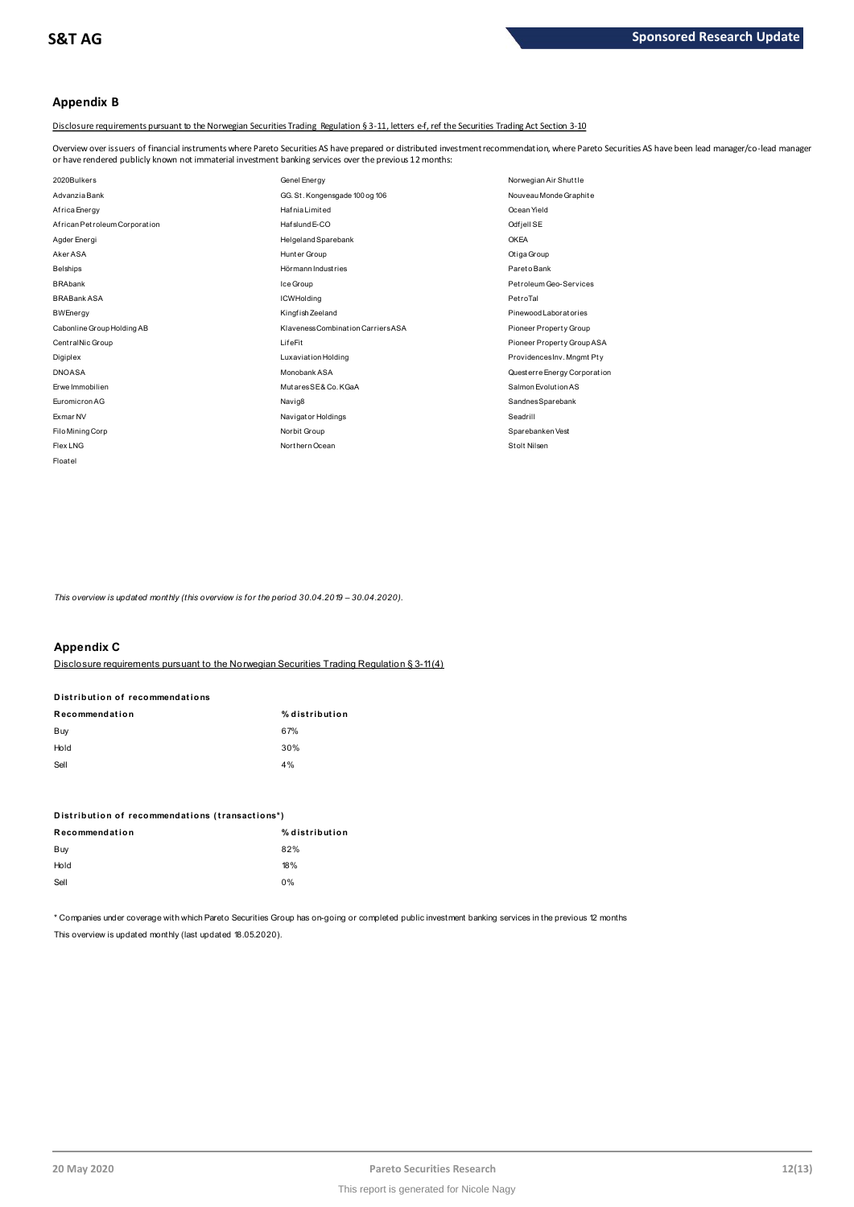# **Appendix B**

Disclosure requirements pursuant to the Norwegian Securities Trading Regulation § 3-11, letters e-f, ref the Securities Trading Act Section 3-10

Overview over issuers of financial instruments where Pareto Securities AS have prepared or distributed investment recommendation, where Pareto Securities AS have been lead manager/co-lead manager<br>or have rendered publicly

| or have rendered publicly known not immaterial investment banking services over the previous 12 months: |                                    |                              |
|---------------------------------------------------------------------------------------------------------|------------------------------------|------------------------------|
| 2020Bulkers                                                                                             | Genel Energy                       | Norwegian Air Shuttle        |
| Advanzia Bank                                                                                           | GG. St. Kongensgade 100 og 106     | Nouveau Monde Graphite       |
| Africa Energy                                                                                           | <b>Hafnia</b> Limited              | Ocean Yield                  |
| African Petroleum Corporation                                                                           | Haf slund E-CO                     | Odfjell SE                   |
| Agder Energi                                                                                            | Helgeland Sparebank                | <b>OKEA</b>                  |
| Aker ASA                                                                                                | Hunter Group                       | Otiga Group                  |
| <b>Belships</b>                                                                                         | Hörmann Industries                 | Pareto Bank                  |
| <b>BRAbank</b>                                                                                          | Ice Group                          | Petroleum Geo-Services       |
| <b>BRABank ASA</b>                                                                                      | <b>ICWHolding</b>                  | PetroTal                     |
| <b>BWEnergy</b>                                                                                         | Kingfish Zeeland                   | Pinewood Laboratories        |
| Cabonline Group Holding AB                                                                              | Klaveness Combination Carriers ASA | Pioneer Property Group       |
| Central Nic Group                                                                                       | LifeFit                            | Pioneer Property Group ASA   |
| Digiplex                                                                                                | Luxaviation Holding                | ProvidencesInv. Mngmt Pty    |
| <b>DNOASA</b>                                                                                           | Monobank ASA                       | Questerre Energy Corporation |
| Erwe Immobilien                                                                                         | MutaresSE& Co. KGaA                | Salmon Evolution AS          |
| Euromicron AG                                                                                           | Navig8                             | SandnesSparebank             |
| <b>Exmar NV</b>                                                                                         | Navigator Holdings                 | Seadrill                     |
| Filo Mining Corp                                                                                        | Norbit Group                       | Sparebanken Vest             |
| Flex LNG                                                                                                | Northern Ocean                     | Stolt Nilsen                 |
| Floatel                                                                                                 |                                    |                              |

*This overview is updated monthly (this overview is for the period 30.04.2019 – 30.04.2020).*

## **Appendix C**

Disclosure requirements pursuant to the Norwegian Securities Trading Regulation § 3-11 (4)

| лрропонд о                                                                 |                |
|----------------------------------------------------------------------------|----------------|
| <u>Disclosure requirements pursuant to the Norwegian Securities Tradin</u> |                |
|                                                                            |                |
| Distribution of recommendations                                            |                |
| Recommendation                                                             | % distribution |
| Buy                                                                        | 67%            |
| Hold                                                                       | 30%            |
| Sell                                                                       | 4%             |
|                                                                            |                |

| $\sim$                                          | $\mathbf{v}$   |
|-------------------------------------------------|----------------|
| Distribution of recommendations (transactions*) |                |
| Recommendation                                  | % distribution |
| Buy                                             | 82%            |
| Hold                                            | 18%            |
| Sell                                            | $0\%$          |
|                                                 |                |

\* Companies under coverage with which Pareto Securities Group has on-going or completed public investment banking services in the previous 12 months This overview is updated monthly (last updated 18.05.2020).